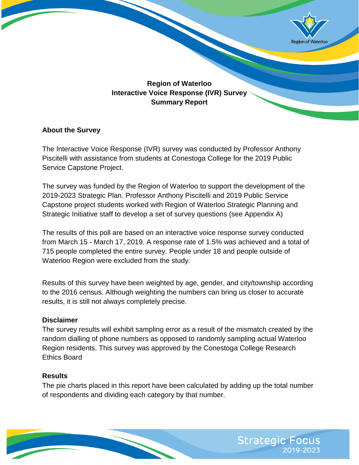

# **Region of Waterloo Interactive Voice Response (IVR) Survey Summary Report**

#### **About the Survey**

The Interactive Voice Response (IVR) survey was conducted by Professor Anthony Piscitelli with assistance from students at Conestoga College for the 2019 Public Service Capstone Project.

The survey was funded by the Region of Waterloo to support the development of the 2019-2023 Strategic Plan. Professor Anthony Piscitelli and 2019 Public Service Capstone project students worked with Region of Waterloo Strategic Planning and Strategic Initiative staff to develop a set of survey questions (see Appendix A)

The results of this poll are based on an interactive voice response survey conducted from March 15 - March 17, 2019. A response rate of 1.5% was achieved and a total of 715 people completed the entire survey. People under 18 and people outside of Waterloo Region were excluded from the study.

Results of this survey have been weighted by age, gender, and city/township according to the 2016 census. Although weighting the numbers can bring us closer to accurate results, it is still not always completely precise.

#### **Disclaimer**

The survey results will exhibit sampling error as a result of the mismatch created by the random dialling of phone numbers as opposed to randomly sampling actual Waterloo Region residents. This survey was approved by the Conestoga College Research Ethics Board

#### **Results**

The pie charts placed in this report have been calculated by adding up the total number of respondents and dividing each category by that number.

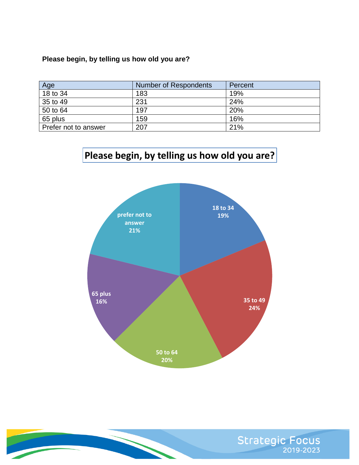## **Please begin, by telling us how old you are?**

| Age                  | Number of Respondents | Percent |
|----------------------|-----------------------|---------|
| 18 to 34             | 183                   | 19%     |
| 35 to 49             | 231                   | 24%     |
| 50 to 64             | 197                   | 20%     |
| 65 plus              | 159                   | 16%     |
| Prefer not to answer | 207                   | 21%     |

# **Please begin, by telling us how old you are?**



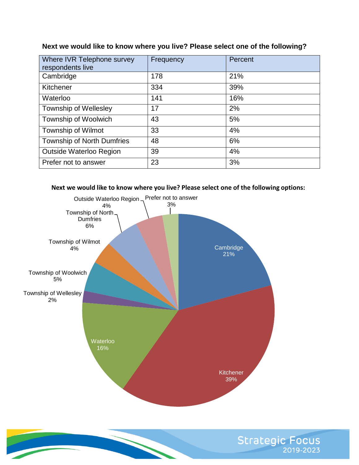| Where IVR Telephone survey<br>respondents live | Frequency | Percent |
|------------------------------------------------|-----------|---------|
| Cambridge                                      | 178       | 21%     |
| Kitchener                                      | 334       | 39%     |
| Waterloo                                       | 141       | 16%     |
| <b>Township of Wellesley</b>                   | 17        | 2%      |
| Township of Woolwich                           | 43        | 5%      |
| Township of Wilmot                             | 33        | 4%      |
| <b>Township of North Dumfries</b>              | 48        | 6%      |
| <b>Outside Waterloo Region</b>                 | 39        | 4%      |
| Prefer not to answer                           | 23        | 3%      |

#### **Next we would like to know where you live? Please select one of the following?**





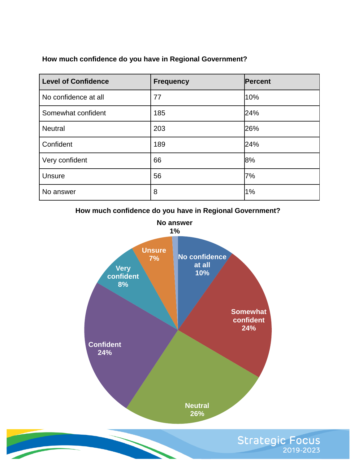## **How much confidence do you have in Regional Government?**

| <b>Level of Confidence</b> | <b>Frequency</b> | <b>Percent</b> |
|----------------------------|------------------|----------------|
| No confidence at all       | 77               | 10%            |
| Somewhat confident         | 185              | 24%            |
| <b>Neutral</b>             | 203              | 26%            |
| Confident                  | 189              | 24%            |
| Very confident             | 66               | 8%             |
| <b>Unsure</b>              | 56               | 7%             |
| No answer                  | 8                | 1%             |

**How much confidence do you have in Regional Government?** 



Strategic Focus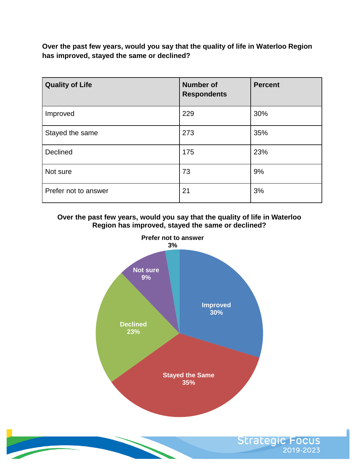**Over the past few years, would you say that the quality of life in Waterloo Region has improved, stayed the same or declined?**

| <b>Quality of Life</b> | <b>Number of</b><br><b>Respondents</b> | <b>Percent</b> |
|------------------------|----------------------------------------|----------------|
| Improved               | 229                                    | 30%            |
| Stayed the same        | 273                                    | 35%            |
| Declined               | 175                                    | 23%            |
| Not sure               | 73                                     | 9%             |
| Prefer not to answer   | 21                                     | 3%             |

**Over the past few years, would you say that the quality of life in Waterloo Region has improved, stayed the same or declined?** 



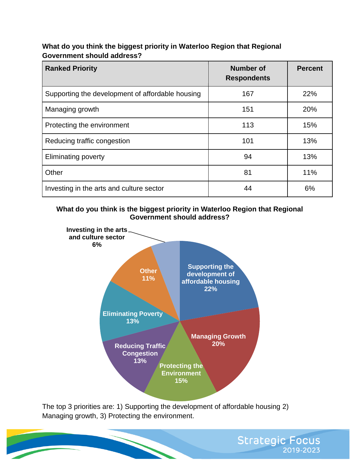#### **What do you think the biggest priority in Waterloo Region that Regional Government should address?**

| <b>Ranked Priority</b>                           | <b>Number of</b><br><b>Respondents</b> | <b>Percent</b> |
|--------------------------------------------------|----------------------------------------|----------------|
| Supporting the development of affordable housing | 167                                    | 22%            |
| Managing growth                                  | 151                                    | 20%            |
| Protecting the environment                       | 113                                    | 15%            |
| Reducing traffic congestion                      | 101                                    | 13%            |
| <b>Eliminating poverty</b>                       | 94                                     | 13%            |
| Other                                            | 81                                     | 11%            |
| Investing in the arts and culture sector         | 44                                     | 6%             |

#### **What do you think is the biggest priority in Waterloo Region that Regional Government should address?**



The top 3 priorities are: 1) Supporting the development of affordable housing 2) Managing growth, 3) Protecting the environment.

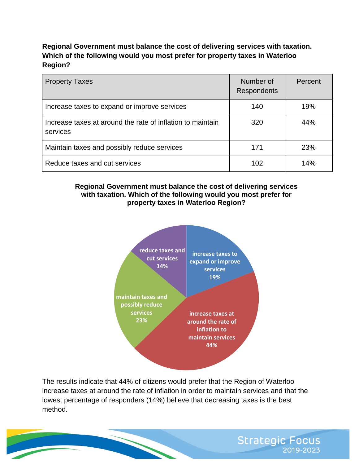# **Regional Government must balance the cost of delivering services with taxation. Which of the following would you most prefer for property taxes in Waterloo Region?**

| <b>Property Taxes</b>                                                  | Number of<br><b>Respondents</b> | Percent |
|------------------------------------------------------------------------|---------------------------------|---------|
| Increase taxes to expand or improve services                           | 140                             | 19%     |
| Increase taxes at around the rate of inflation to maintain<br>services | 320                             | 44%     |
| Maintain taxes and possibly reduce services                            | 171                             | 23%     |
| Reduce taxes and cut services                                          | 102                             | 14%     |

#### **Regional Government must balance the cost of delivering services with taxation. Which of the following would you most prefer for property taxes in Waterloo Region?**



The results indicate that 44% of citizens would prefer that the Region of Waterloo increase taxes at around the rate of inflation in order to maintain services and that the lowest percentage of responders (14%) believe that decreasing taxes is the best method.

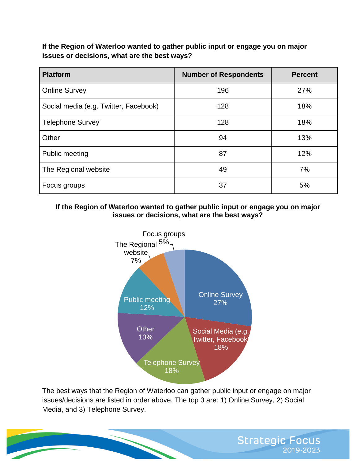**If the Region of Waterloo wanted to gather public input or engage you on major issues or decisions, what are the best ways?** 

| <b>Platform</b>                       | <b>Number of Respondents</b> | <b>Percent</b> |
|---------------------------------------|------------------------------|----------------|
| <b>Online Survey</b>                  | 196                          | 27%            |
| Social media (e.g. Twitter, Facebook) | 128                          | 18%            |
| <b>Telephone Survey</b>               | 128                          | 18%            |
| Other                                 | 94                           | 13%            |
| Public meeting                        | 87                           | 12%            |
| The Regional website                  | 49                           | 7%             |
| Focus groups                          | 37                           | 5%             |

**If the Region of Waterloo wanted to gather public input or engage you on major issues or decisions, what are the best ways?**



The best ways that the Region of Waterloo can gather public input or engage on major issues/decisions are listed in order above. The top 3 are: 1) Online Survey, 2) Social Media, and 3) Telephone Survey.

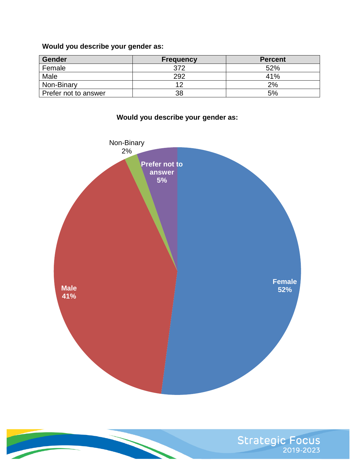**Would you describe your gender as:**

| <b>Gender</b>        | <b>Frequency</b> | <b>Percent</b> |
|----------------------|------------------|----------------|
| Female               | 372              | 52%            |
| Male                 | 292              | 41%            |
| Non-Binary           |                  | 2%             |
| Prefer not to answer | 38               | 5%             |



**Would you describe your gender as:** 

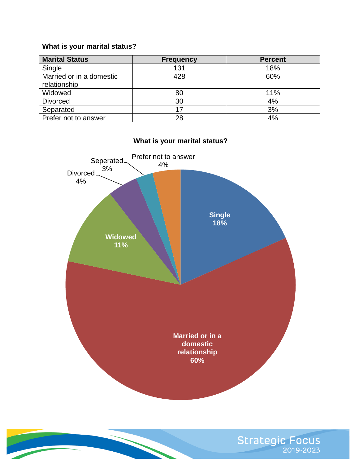## **What is your marital status?**

| <b>Marital Status</b>    | <b>Frequency</b> | <b>Percent</b> |
|--------------------------|------------------|----------------|
| Single                   | 131              | 18%            |
| Married or in a domestic | 428              | 60%            |
| relationship             |                  |                |
| Widowed                  | 80               | 11%            |
| <b>Divorced</b>          | 30               | 4%             |
| Separated                | 17               | 3%             |
| Prefer not to answer     | 28               | 4%             |



# **What is your marital status?**

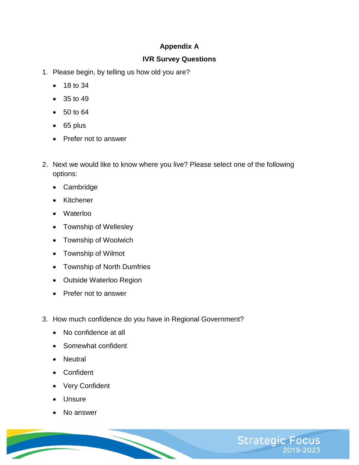# **Appendix A**

## **IVR Survey Questions**

- 1. Please begin, by telling us how old you are?
	- 18 to 34
	- 35 to 49
	- 50 to 64
	- $\bullet$  65 plus
	- Prefer not to answer
- 2. Next we would like to know where you live? Please select one of the following options:
	- Cambridge
	- Kitchener
	- Waterloo
	- Township of Wellesley
	- Township of Woolwich
	- Township of Wilmot
	- Township of North Dumfries
	- Outside Waterloo Region
	- Prefer not to answer
- 3. How much confidence do you have in Regional Government?
	- No confidence at all
	- Somewhat confident
	- Neutral
	- Confident
	- Very Confident
	- **Unsure**
	- No answer

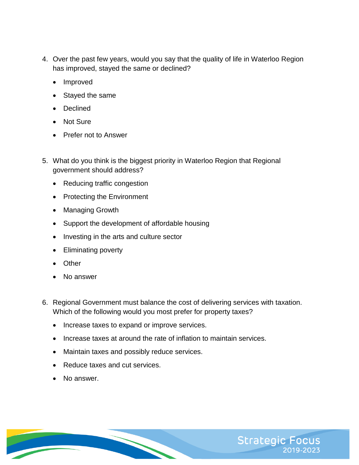- 4. Over the past few years, would you say that the quality of life in Waterloo Region has improved, stayed the same or declined?
	- Improved
	- Stayed the same
	- Declined
	- Not Sure
	- Prefer not to Answer
- 5. What do you think is the biggest priority in Waterloo Region that Regional government should address?
	- Reducing traffic congestion
	- Protecting the Environment
	- Managing Growth
	- Support the development of affordable housing
	- Investing in the arts and culture sector
	- Eliminating poverty
	- Other
	- No answer
- 6. Regional Government must balance the cost of delivering services with taxation. Which of the following would you most prefer for property taxes?
	- Increase taxes to expand or improve services.
	- Increase taxes at around the rate of inflation to maintain services.
	- Maintain taxes and possibly reduce services.
	- Reduce taxes and cut services.
	- No answer.